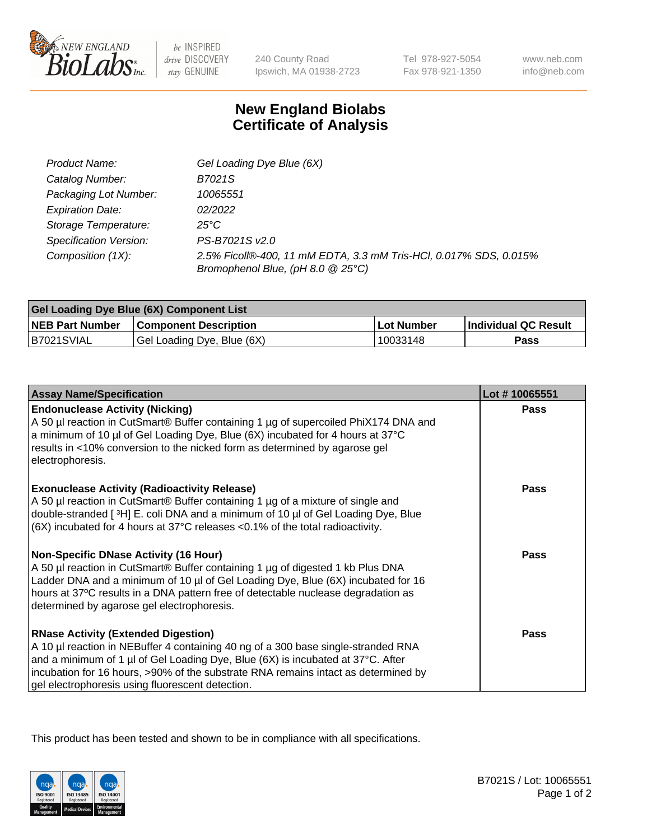

 $be$  INSPIRED drive DISCOVERY stay GENUINE

240 County Road Ipswich, MA 01938-2723 Tel 978-927-5054 Fax 978-921-1350 www.neb.com info@neb.com

## **New England Biolabs Certificate of Analysis**

| Product Name:           | Gel Loading Dye Blue (6X)                                                                              |
|-------------------------|--------------------------------------------------------------------------------------------------------|
| Catalog Number:         | B7021S                                                                                                 |
| Packaging Lot Number:   | 10065551                                                                                               |
| <b>Expiration Date:</b> | 02/2022                                                                                                |
| Storage Temperature:    | 25°C                                                                                                   |
| Specification Version:  | PS-B7021S v2.0                                                                                         |
| Composition (1X):       | 2.5% Ficoll®-400, 11 mM EDTA, 3.3 mM Tris-HCl, 0.017% SDS, 0.015%<br>Bromophenol Blue, (pH 8.0 @ 25°C) |

| <b>Gel Loading Dye Blue (6X) Component List</b> |                              |                   |                      |  |
|-------------------------------------------------|------------------------------|-------------------|----------------------|--|
| <b>NEB Part Number</b>                          | <b>Component Description</b> | <b>Lot Number</b> | Individual QC Result |  |
| B7021SVIAL                                      | Gel Loading Dye, Blue (6X)   | 10033148          | Pass                 |  |

| <b>Assay Name/Specification</b>                                                                                                                                                                                                                                                                                                                              | Lot #10065551 |
|--------------------------------------------------------------------------------------------------------------------------------------------------------------------------------------------------------------------------------------------------------------------------------------------------------------------------------------------------------------|---------------|
| <b>Endonuclease Activity (Nicking)</b><br>A 50 µl reaction in CutSmart® Buffer containing 1 µg of supercoiled PhiX174 DNA and<br>a minimum of 10 µl of Gel Loading Dye, Blue (6X) incubated for 4 hours at 37°C<br>results in <10% conversion to the nicked form as determined by agarose gel<br>electrophoresis.                                            | <b>Pass</b>   |
| <b>Exonuclease Activity (Radioactivity Release)</b><br>A 50 µl reaction in CutSmart® Buffer containing 1 µg of a mixture of single and<br>double-stranded [3H] E. coli DNA and a minimum of 10 µl of Gel Loading Dye, Blue<br>(6X) incubated for 4 hours at 37°C releases <0.1% of the total radioactivity.                                                  | <b>Pass</b>   |
| <b>Non-Specific DNase Activity (16 Hour)</b><br>A 50 µl reaction in CutSmart® Buffer containing 1 µg of digested 1 kb Plus DNA<br>Ladder DNA and a minimum of 10 µl of Gel Loading Dye, Blue (6X) incubated for 16<br>hours at 37°C results in a DNA pattern free of detectable nuclease degradation as<br>determined by agarose gel electrophoresis.        | <b>Pass</b>   |
| <b>RNase Activity (Extended Digestion)</b><br>A 10 µl reaction in NEBuffer 4 containing 40 ng of a 300 base single-stranded RNA<br>and a minimum of 1 µl of Gel Loading Dye, Blue (6X) is incubated at 37°C. After<br>incubation for 16 hours, >90% of the substrate RNA remains intact as determined by<br>gel electrophoresis using fluorescent detection. | <b>Pass</b>   |

This product has been tested and shown to be in compliance with all specifications.